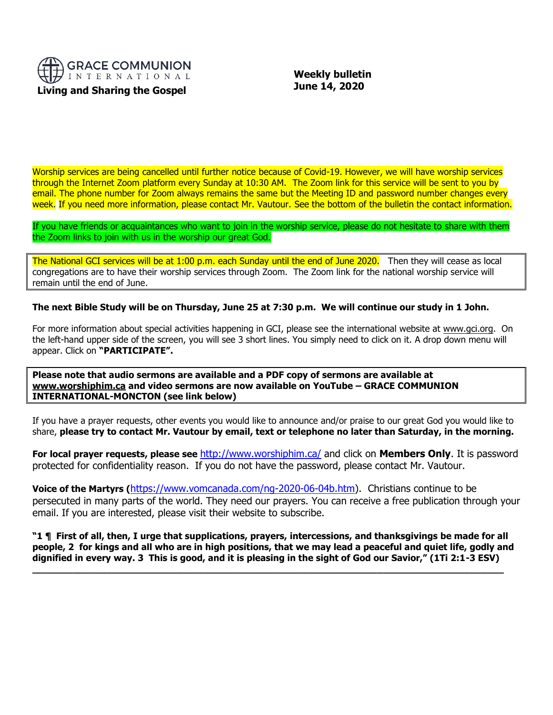

 **Weekly bulletin June 14, 2020**

Worship services are being cancelled until further notice because of Covid-19. However, we will have worship services through the Internet Zoom platform every Sunday at 10:30 AM. The Zoom link for this service will be sent to you by email. The phone number for Zoom always remains the same but the Meeting ID and password number changes every week. If you need more information, please contact Mr. Vautour. See the bottom of the bulletin the contact information.

If you have friends or acquaintances who want to join in the worship service, please do not hesitate to share with them the Zoom links to join with us in the worship our great God.

The National GCI services will be at 1:00 p.m. each Sunday until the end of June 2020. Then they will cease as local congregations are to have their worship services through Zoom. The Zoom link for the national worship service will remain until the end of June.

**The next Bible Study will be on Thursday, June 25 at 7:30 p.m. We will continue our study in 1 John.**

For more information about special activities happening in GCI, please see the international website at [www.gci.org.](http://www.gci.org/) On the left-hand upper side of the screen, you will see 3 short lines. You simply need to click on it. A drop down menu will appear. Click on **"PARTICIPATE".** 

**Please note that audio sermons are available and a PDF copy of sermons are available at [www.worshiphim.ca](http://www.worshiphim.ca/) and video sermons are now available on YouTube – GRACE COMMUNION INTERNATIONAL-MONCTON (see link below)**

If you have a prayer requests, other events you would like to announce and/or praise to our great God you would like to share, **please try to contact Mr. Vautour by email, text or telephone no later than Saturday, in the morning.**

**For local prayer requests, please see** <http://www.worshiphim.ca/> and click on **Members Only**. It is password protected for confidentiality reason. If you do not have the password, please contact Mr. Vautour.

**Voice of the Martyrs (**[https://www.vomcanada.com/ng-2020-06-04b.htm\)](https://www.vomcanada.com/ng-2020-06-04b.htm). Christians continue to be persecuted in many parts of the world. They need our prayers. You can receive a free publication through your email. If you are interested, please visit their website to subscribe.

**"1 ¶ First of all, then, I urge that supplications, prayers, intercessions, and thanksgivings be made for all people, 2 for kings and all who are in high positions, that we may lead a peaceful and quiet life, godly and dignified in every way. 3 This is good, and it is pleasing in the sight of God our Savior," (1Ti 2:1-3 ESV)**

**\_\_\_\_\_\_\_\_\_\_\_\_\_\_\_\_\_\_\_\_\_\_\_\_\_\_\_\_\_\_\_\_\_\_\_\_\_\_\_\_\_\_\_\_\_\_\_\_\_\_\_\_\_\_\_\_\_\_\_\_\_\_\_\_\_\_\_\_\_\_\_\_\_\_\_\_\_\_\_\_\_\_**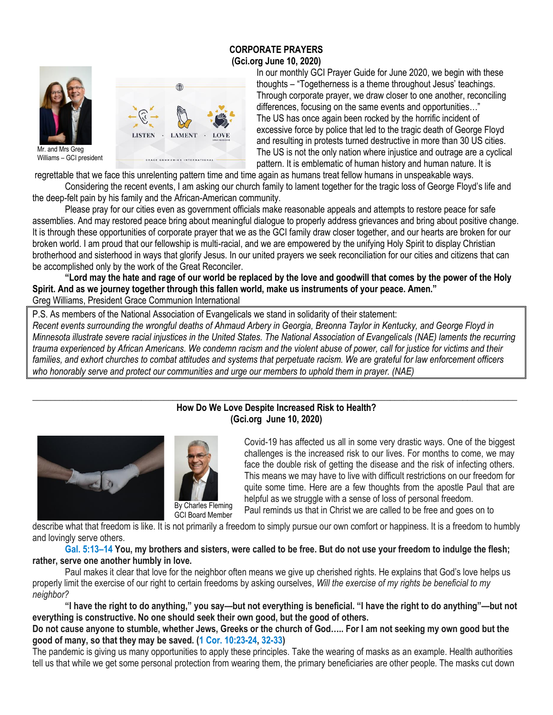## **CORPORATE PRAYERS (Gci.org June 10, 2020)**



In our monthly GCI Prayer Guide for June 2020, we begin with these thoughts – "Togetherness is a theme throughout Jesus' teachings. Through corporate prayer, we draw closer to one another, reconciling differences, focusing on the same events and opportunities…" The US has once again been rocked by the horrific incident of excessive force by police that led to the tragic death of George Floyd and resulting in protests turned destructive in more than 30 US cities. The US is not the only nation where injustice and outrage are a cyclical pattern. It is emblematic of human history and human nature. It is

regrettable that we face this unrelenting pattern time and time again as humans treat fellow humans in unspeakable ways. Considering the recent events, I am asking our church family to lament together for the tragic loss of George Floyd's life and the deep-felt pain by his family and the African-American community.

Please pray for our cities even as government officials make reasonable appeals and attempts to restore peace for safe assemblies. And may restored peace bring about meaningful dialogue to properly address grievances and bring about positive change. It is through these opportunities of corporate prayer that we as the GCI family draw closer together, and our hearts are broken for our broken world. I am proud that our fellowship is multi-racial, and we are empowered by the unifying Holy Spirit to display Christian brotherhood and sisterhood in ways that glorify Jesus. In our united prayers we seek reconciliation for our cities and citizens that can be accomplished only by the work of the Great Reconciler.

**"Lord may the hate and rage of our world be replaced by the love and goodwill that comes by the power of the Holy Spirit. And as we journey together through this fallen world, make us instruments of your peace. Amen."** Greg Williams, President Grace Communion International

P.S. As members of the National Association of Evangelicals we stand in solidarity of their statement: *Recent events surrounding the wrongful deaths of Ahmaud Arbery in Georgia, Breonna Taylor in Kentucky, and George Floyd in Minnesota illustrate severe racial injustices in the United States. The National Association of Evangelicals (NAE) laments the recurring trauma experienced by African Americans. We condemn racism and the violent abuse of power, call for justice for victims and their families, and exhort churches to combat attitudes and systems that perpetuate racism. We are grateful for law enforcement officers who honorably serve and protect our communities and urge our members to uphold them in prayer. (NAE)*

## \_\_\_\_\_\_\_\_\_\_\_\_\_\_\_\_\_\_\_\_\_\_\_\_\_\_\_\_\_\_\_\_\_\_\_\_\_\_\_\_\_\_\_\_\_\_\_\_\_\_\_\_\_\_\_\_\_\_\_\_\_\_\_\_\_\_\_\_\_\_\_\_\_\_\_\_\_\_\_\_\_\_\_\_\_\_\_\_\_\_\_\_\_\_\_\_\_\_\_\_\_\_\_\_\_\_\_ **How Do We Love Despite Increased Risk to Health? (Gci.org June 10, 2020)**





GCI Board Member

Covid-19 has affected us all in some very drastic ways. One of the biggest challenges is the increased risk to our lives. For months to come, we may face the double risk of getting the disease and the risk of infecting others. This means we may have to live with difficult restrictions on our freedom for quite some time. Here are a few thoughts from the apostle Paul that are helpful as we struggle with a sense of loss of personal freedom.

Paul reminds us that in Christ we are called to be free and goes on to

describe what that freedom is like. It is not primarily a freedom to simply pursue our own comfort or happiness. It is a freedom to humbly and lovingly serve others.

**[Gal. 5:13](https://biblia.com/bible/niv/Gal.%205.13%E2%80%9314)–14 You, my brothers and sisters, were called to be free. But do not use your freedom to indulge the flesh; rather, serve one another humbly in love.**

Paul makes it clear that love for the neighbor often means we give up cherished rights. He explains that God's love helps us properly limit the exercise of our right to certain freedoms by asking ourselves, *Will the exercise of my rights be beneficial to my neighbor?*

**"I have the right to do anything," you say—but not everything is beneficial. "I have the right to do anything"—but not everything is constructive. No one should seek their own good, but the good of others.**

**Do not cause anyone to stumble, whether Jews, Greeks or the church of God….. For I am not seeking my own good but the good of many, so that they may be saved. [\(1 Cor. 10:23-24,](https://biblia.com/bible/niv/1%20Cor.%2010.23-24) [32-33\)](https://biblia.com/bible/niv/1%20Cor%2010.32-33)**

The pandemic is giving us many opportunities to apply these principles. Take the wearing of masks as an example. Health authorities tell us that while we get some personal protection from wearing them, the primary beneficiaries are other people. The masks cut down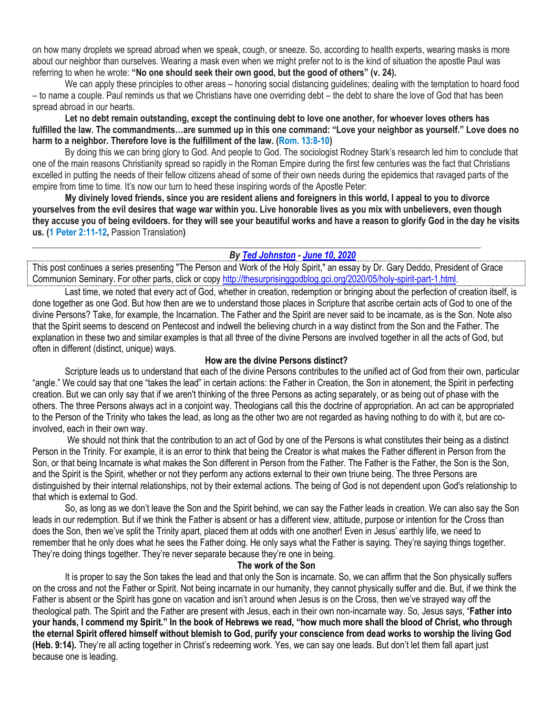on how many droplets we spread abroad when we speak, cough, or sneeze. So, according to health experts, wearing masks is more about our neighbor than ourselves. Wearing a mask even when we might prefer not to is the kind of situation the apostle Paul was referring to when he wrote: **"No one should seek their own good, but the good of others" (v. 24).**

We can apply these principles to other areas – honoring social distancing guidelines; dealing with the temptation to hoard food – to name a couple. Paul reminds us that we Christians have one overriding debt – the debt to share the love of God that has been spread abroad in our hearts.

**Let no debt remain outstanding, except the continuing debt to love one another, for whoever loves others has fulfilled the law. The commandments…are summed up in this one command: "Love your neighbor as yourself." Love does no harm to a neighbor. Therefore love is the fulfillment of the law. [\(Rom. 13:8-10\)](https://biblia.com/bible/niv/Rom.%2013.8-10)**

By doing this we can bring glory to God. And people to God. The sociologist Rodney Stark's research led him to conclude that one of the main reasons Christianity spread so rapidly in the Roman Empire during the first few centuries was the fact that Christians excelled in putting the needs of their fellow citizens ahead of some of their own needs during the epidemics that ravaged parts of the empire from time to time. It's now our turn to heed these inspiring words of the Apostle Peter:

**My divinely loved friends, since you are resident aliens and foreigners in this world, I appeal to you to divorce yourselves from the evil desires that wage war within you. Live honorable lives as you mix with unbelievers, even though they accuse you of being evildoers. for they will see your beautiful works and have a reason to glorify God in the day he visits us. [\(1 Peter 2:11-12,](https://biblia.com/bible/niv/1%20Pet%202.11-12)** Passion Translation**)**

## *By [Ted Johnston](https://www.blogger.com/profile/08677739021765621811) - [June 10, 2020](http://thesurprisinggodblog.gci.org/2020/06/holy-spirit-part-2.html)*

This post continues a series presenting "The Person and Work of the Holy Spirit," an essay by Dr. Gary Deddo, President of [Grace](https://www.gcs.edu/)  [Communion](https://www.gcs.edu/) Seminary. For other parts, click or cop[y http://thesurprisinggodblog.gci.org/2020/05/holy-spirit-part-1.html.](http://thesurprisinggodblog.gci.org/2020/05/holy-spirit-part-1.html)

**\_\_\_\_\_\_\_\_\_\_\_\_\_\_\_\_\_\_\_\_\_\_\_\_\_\_\_\_\_\_\_\_\_\_\_\_\_\_\_\_\_\_\_\_\_\_\_\_\_\_\_\_\_\_\_\_\_\_\_\_\_\_\_\_\_\_\_\_\_\_\_\_\_\_\_\_\_\_\_\_\_\_\_\_\_\_\_\_\_\_\_\_\_\_\_\_\_\_\_**

[Last time,](http://thesurprisinggodblog.gci.org/2020/05/holy-spirit-part-1.html) we noted that every act of God, whether in creation, redemption or bringing about the perfection of creation itself, is done together as one God. But how then are we to understand those places in Scripture that ascribe certain acts of God to one of the divine Persons? Take, for example, the Incarnation. The Father and the Spirit are never said to be incarnate, as is the Son. Note also that the Spirit seems to descend on Pentecost and indwell the believing church in a way distinct from the Son and the Father. The explanation in these two and similar examples is that all three of the divine Persons are involved together in all the acts of God, but often in different (distinct, unique) ways.

#### **How are the divine Persons distinct?**

Scripture leads us to understand that each of the divine Persons contributes to the unified act of God from their own, particular "angle." We could say that one "takes the lead" in certain actions: the Father in Creation, the Son in atonement, the Spirit in perfecting creation. But we can only say that if we aren't thinking of the three Persons as acting separately, or as being out of phase with the others. The three Persons always act in a conjoint way. Theologians call this the doctrine of appropriation. An act can be appropriated to the Person of the Trinity who takes the lead, as long as the other two are not regarded as having nothing to do with it, but are coinvolved, each in their own way.

We should not think that the contribution to an act of God by one of the Persons is what constitutes their being as a distinct Person in the Trinity. For example, it is an error to think that being the Creator is what makes the Father different in Person from the Son, or that being Incarnate is what makes the Son different in Person from the Father. The Father is the Father, the Son is the Son, and the Spirit is the Spirit, whether or not they perform any actions external to their own triune being. The three Persons are distinguished by their internal relationships, not by their external actions. The being of God is not dependent upon God's relationship to that which is external to God.

So, as long as we don't leave the Son and the Spirit behind, we can say the Father leads in creation. We can also say the Son leads in our redemption. But if we think the Father is absent or has a different view, attitude, purpose or intention for the Cross than does the Son, then we've split the Trinity apart, placed them at odds with one another! Even in Jesus' earthly life, we need to remember that he only does what he sees the Father doing. He only says what the Father is saying. They're saying things together. They're doing things together. They're never separate because they're one in being.

## **The work of the Son**

It is proper to say the Son takes the lead and that only the Son is incarnate. So, we can affirm that the Son physically suffers on the cross and not the Father or Spirit. Not being incarnate in our humanity, they cannot physically suffer and die. But, if we think the Father is absent or the Spirit has gone on vacation and isn't around when Jesus is on the Cross, then we've strayed way off the theological path. The Spirit and the Father are present with Jesus, each in their own non-incarnate way. So, Jesus says, "**Father into your hands, I commend my Spirit." In the book of Hebrews we read, "how much more shall the blood of Christ, who through the eternal Spirit offered himself without blemish to God, purify your conscience from dead works to worship the living God [\(Heb. 9:14\)](https://biblia.com/bible/niv/Heb.%209.14).** They're all acting together in Christ's redeeming work. Yes, we can say one leads. But don't let them fall apart just because one is leading.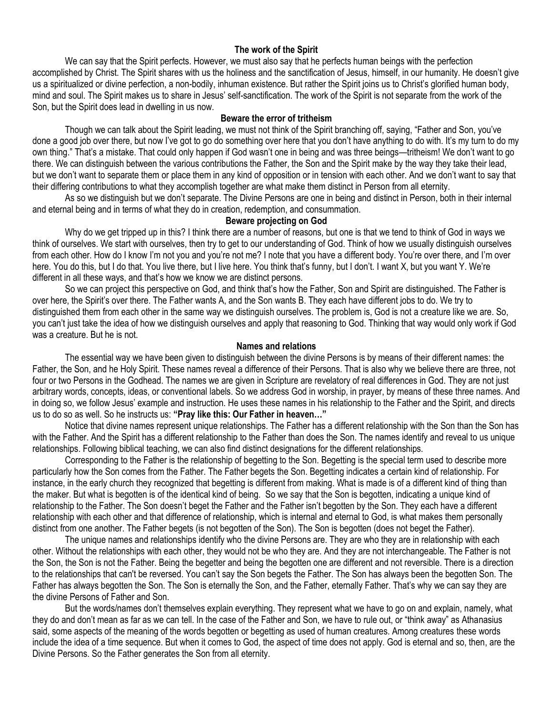# **The work of the Spirit**

We can say that the Spirit perfects. However, we must also say that he perfects human beings with the perfection accomplished by Christ. The Spirit shares with us the holiness and the sanctification of Jesus, himself, in our humanity. He doesn't give us a spiritualized or divine perfection, a non-bodily, inhuman existence. But rather the Spirit joins us to Christ's glorified human body, mind and soul. The Spirit makes us to share in Jesus' self-sanctification. The work of the Spirit is not separate from the work of the Son, but the Spirit does lead in dwelling in us now.

## **Beware the error of tritheism**

Though we can talk about the Spirit leading, we must not think of the Spirit branching off, saying, "Father and Son, you've done a good job over there, but now I've got to go do something over here that you don't have anything to do with. It's my turn to do my own thing." That's a mistake. That could only happen if God wasn't one in being and was three beings—tritheism! We don't want to go there. We can distinguish between the various contributions the Father, the Son and the Spirit make by the way they take their lead, but we don't want to separate them or place them in any kind of opposition or in tension with each other. And we don't want to say that their differing contributions to what they accomplish together are what make them distinct in Person from all eternity.

As so we distinguish but we don't separate. The Divine Persons are one in being and distinct in Person, both in their internal and eternal being and in terms of what they do in creation, redemption, and consummation.

## **Beware projecting on God**

Why do we get tripped up in this? I think there are a number of reasons, but one is that we tend to think of God in ways we think of ourselves. We start with ourselves, then try to get to our understanding of God. Think of how we usually distinguish ourselves from each other. How do I know I'm not you and you're not me? I note that you have a different body. You're over there, and I'm over here. You do this, but I do that. You live there, but I live here. You think that's funny, but I don't. I want X, but you want Y. We're different in all these ways, and that's how we know we are distinct persons.

So we can project this perspective on God, and think that's how the Father, Son and Spirit are distinguished. The Father is over here, the Spirit's over there. The Father wants A, and the Son wants B. They each have different jobs to do. We try to distinguished them from each other in the same way we distinguish ourselves. The problem is, God is not a creature like we are. So, you can't just take the idea of how we distinguish ourselves and apply that reasoning to God. Thinking that way would only work if God was a creature. But he is not.

#### **Names and relations**

The essential way we have been given to distinguish between the divine Persons is by means of their different names: the Father, the Son, and he Holy Spirit. These names reveal a difference of their Persons. That is also why we believe there are three, not four or two Persons in the Godhead. The names we are given in Scripture are revelatory of real differences in God. They are not just arbitrary words, concepts, ideas, or conventional labels. So we address God in worship, in prayer, by means of these three names. And in doing so, we follow Jesus' example and instruction. He uses these names in his relationship to the Father and the Spirit, and directs us to do so as well. So he instructs us: **"Pray like this: Our Father in heaven…"**

Notice that divine names represent unique relationships. The Father has a different relationship with the Son than the Son has with the Father. And the Spirit has a different relationship to the Father than does the Son. The names identify and reveal to us unique relationships. Following biblical teaching, we can also find distinct designations for the different relationships.

Corresponding to the Father is the relationship of begetting to the Son. Begetting is the special term used to describe more particularly how the Son comes from the Father. The Father begets the Son. Begetting indicates a certain kind of relationship. For instance, in the early church they recognized that begetting is different from making. What is made is of a different kind of thing than the maker. But what is begotten is of the identical kind of being. So we say that the Son is begotten, indicating a unique kind of relationship to the Father. The Son doesn't beget the Father and the Father isn't begotten by the Son. They each have a different relationship with each other and that difference of relationship, which is internal and eternal to God, is what makes them personally distinct from one another. The Father begets (is not begotten of the Son). The Son is begotten (does not beget the Father).

The unique names and relationships identify who the divine Persons are. They are who they are in relationship with each other. Without the relationships with each other, they would not be who they are. And they are not interchangeable. The Father is not the Son, the Son is not the Father. Being the begetter and being the begotten one are different and not reversible. There is a direction to the relationships that can't be reversed. You can't say the Son begets the Father. The Son has always been the begotten Son. The Father has always begotten the Son. The Son is eternally the Son, and the Father, eternally Father. That's why we can say they are the divine Persons of Father and Son.

But the words/names don't themselves explain everything. They represent what we have to go on and explain, namely, what they do and don't mean as far as we can tell. In the case of the Father and Son, we have to rule out, or "think away" as Athanasius said, some aspects of the meaning of the words begotten or begetting as used of human creatures. Among creatures these words include the idea of a time sequence. But when it comes to God, the aspect of time does not apply. God is eternal and so, then, are the Divine Persons. So the Father generates the Son from all eternity.